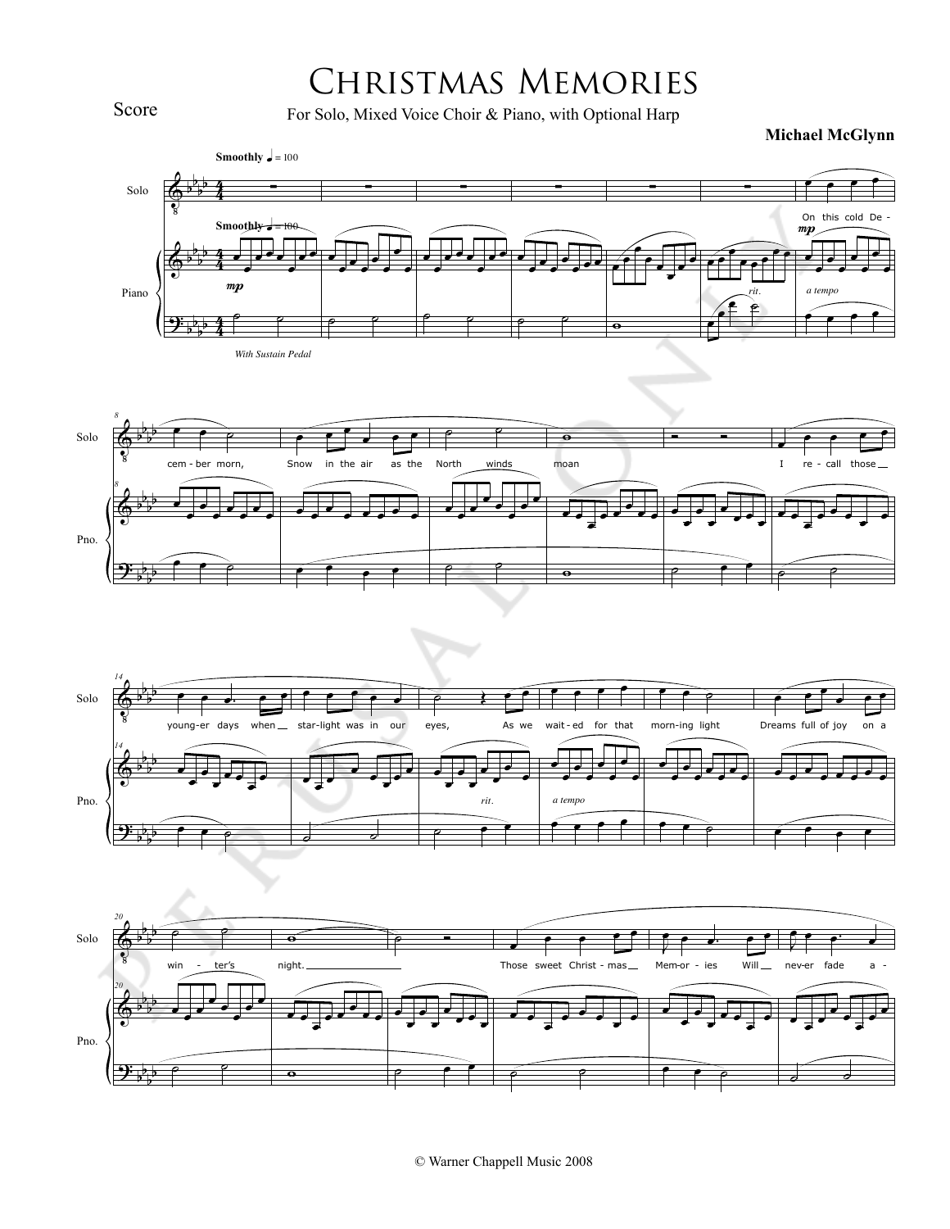## Christmas Memories

For Solo, Mixed Voice Choir & Piano, with Optional Harp

**Michael McGlynn**









Score